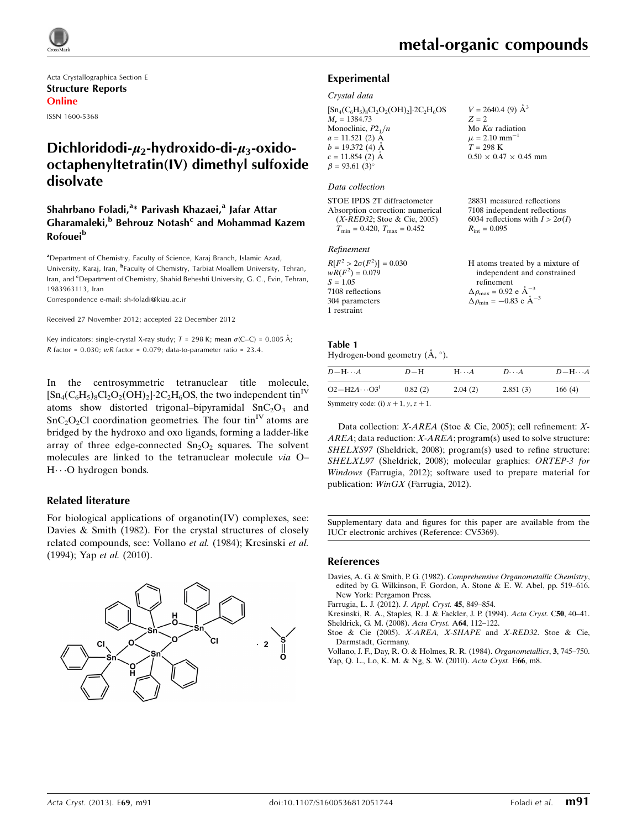

Acta Crystallographica Section E Structure Reports Online ISSN 1600-5368

# Dichloridodi- $\mu_2$ -hydroxido-di- $\mu_3$ -oxidooctaphenyltetratin(IV) dimethyl sulfoxide disolvate

## Shahrbano Foladi,<sup>a</sup>\* Parivash Khazaei,<sup>a</sup> Jafar Attar Gharamaleki,<sup>b</sup> Behrouz Notash<sup>c</sup> and Mohammad Kazem **Rofouei**<sup>b</sup>

<sup>a</sup> Department of Chemistry, Faculty of Science, Karaj Branch, Islamic Azad, University, Karaj, Iran, <sup>b</sup>Faculty of Chemistry, Tarbiat Moallem University, Tehran, Iran, and <sup>c</sup>Department of Chemistry, Shahid Beheshti University, G. C., Evin, Tehran, 1983963113, Iran

Correspondence e-mail: [sh-foladi@kiau.ac.ir](https://scripts.iucr.org/cgi-bin/cr.cgi?rm=pdfbb&cnor=cv5369&bbid=BB7)

Received 27 November 2012; accepted 22 December 2012

Key indicators: single-crystal X-ray study;  $T$  = 298 K; mean  $\sigma$ (C–C) = 0.005 Å; R factor =  $0.030$ ; wR factor =  $0.079$ ; data-to-parameter ratio =  $23.4$ .

In the centrosymmetric tetranuclear title molecule,  $\left[\text{Sn}_{4}(C_{6}H_{5})_{8}Cl_{2}O_{2}(OH)_{2}\right]$  2C<sub>2</sub>H<sub>6</sub>OS, the two independent tin<sup>IV</sup> atoms show distorted trigonal–bipyramidal  $SnC<sub>2</sub>O<sub>3</sub>$  and  $SnC<sub>2</sub>O<sub>2</sub>Cl$  coordination geometries. The four tin<sup>IV</sup> atoms are bridged by the hydroxo and oxo ligands, forming a ladder-like array of three edge-connected  $Sn<sub>2</sub>O<sub>2</sub>$  squares. The solvent molecules are linked to the tetranuclear molecule via O– H---O hydrogen bonds.

#### Related literature

For biological applications of organotin(IV) complexes, see: Davies & Smith (1982). For the crystal structures of closely related compounds, see: Vollano et al. (1984); Kresinski et al. (1994); Yap et al. (2010).



28831 measured reflections 7108 independent reflections 6034 reflections with  $I > 2\sigma(I)$ 

 $R_{\text{int}} = 0.095$ 

#### Experimental

#### Crystal data

| $[Sn_4(C_6H_5)_8Cl_2O_2(OH)_2]$ -2C <sub>2</sub> H <sub>6</sub> OS | $V = 2640.4$ (9) $\AA^3$          |
|--------------------------------------------------------------------|-----------------------------------|
| $M_r = 1384.73$                                                    | $Z = 2$                           |
| Monoclinic, $P2_1/n$                                               | Mo $K\alpha$ radiation            |
| $a = 11.521$ (2) $\AA$                                             | $\mu = 2.10$ mm <sup>-1</sup>     |
| $b = 19.372(4)$ Å                                                  | $T = 298$ K                       |
| $c = 11.854$ (2) Å                                                 | $0.50 \times 0.47 \times 0.45$ mm |
| $\beta = 93.61(3)$ °                                               |                                   |

#### Data collection

STOE IPDS 2T diffractometer Absorption correction: numerical (X-RED32; Stoe & Cie, 2005)  $T_{\text{min}} = 0.420, T_{\text{max}} = 0.452$ 

#### Refinement

| $R[F^2 > 2\sigma(F^2)] = 0.030$ | H atoms treated by a mixture of                      |
|---------------------------------|------------------------------------------------------|
| $wR(F^2) = 0.079$               | independent and constrained                          |
| $S = 1.05$                      | refinement                                           |
| 7108 reflections                | $\Delta \rho_{\text{max}} = 0.92 \text{ e A}^{-3}$   |
| 304 parameters                  | $\Delta \rho_{\text{min}} = -0.83$ e $\rm{\AA}^{-3}$ |
| 1 restraint                     |                                                      |

# Table 1

Hydrogen-bond geometry  $(A, \circ)$ .

| $D$ -H $\cdots$ A                  | $D-H$   | $H \cdots A$ | $D \cdots A$ | $D - H \cdots A$ |
|------------------------------------|---------|--------------|--------------|------------------|
| $O2-H2A\cdots O31$                 | 0.82(2) | 2.04(2)      | 2.851(3)     | 166(4)           |
| $\alpha$ and $\alpha$ and $\alpha$ |         |              |              |                  |

Symmetry code: (i)  $x + 1$ ,  $y$ ,  $z + 1$ .

Data collection: X-AREA (Stoe & Cie, 2005); cell refinement: X-AREA; data reduction: X-AREA; program(s) used to solve structure: SHELXS97 (Sheldrick, 2008); program(s) used to refine structure: SHELXL97 (Sheldrick, 2008); molecular graphics: ORTEP-3 for Windows (Farrugia, 2012); software used to prepare material for publication: WinGX (Farrugia, 2012).

Supplementary data and figures for this paper are available from the IUCr electronic archives (Reference: CV5369).

#### References

- Davies, A. G. & Smith, P. G. (1982). [Comprehensive Organometallic Chemistry](https://scripts.iucr.org/cgi-bin/cr.cgi?rm=pdfbb&cnor=cv5369&bbid=BB1), [edited by G. Wilkinson, F. Gordon, A. Stone & E. W. Abel, pp. 519–616.](https://scripts.iucr.org/cgi-bin/cr.cgi?rm=pdfbb&cnor=cv5369&bbid=BB1) [New York: Pergamon Press.](https://scripts.iucr.org/cgi-bin/cr.cgi?rm=pdfbb&cnor=cv5369&bbid=BB1)
- [Farrugia, L. J. \(2012\).](https://scripts.iucr.org/cgi-bin/cr.cgi?rm=pdfbb&cnor=cv5369&bbid=BB2) J. Appl. Cryst. 45, 849–854.
- [Kresinski, R. A., Staples, R. J. & Fackler, J. P. \(1994\).](https://scripts.iucr.org/cgi-bin/cr.cgi?rm=pdfbb&cnor=cv5369&bbid=BB3) Acta Cryst. C50, 40–41. [Sheldrick, G. M. \(2008\).](https://scripts.iucr.org/cgi-bin/cr.cgi?rm=pdfbb&cnor=cv5369&bbid=BB4) Acta Cryst. A64, 112–122.
- Stoe & Cie (2005). [X-AREA, X-SHAPE](https://scripts.iucr.org/cgi-bin/cr.cgi?rm=pdfbb&cnor=cv5369&bbid=BB5) and X-RED32. Stoe & Cie, [Darmstadt, Germany.](https://scripts.iucr.org/cgi-bin/cr.cgi?rm=pdfbb&cnor=cv5369&bbid=BB5)
- [Vollano, J. F., Day, R. O. & Holmes, R. R. \(1984\).](https://scripts.iucr.org/cgi-bin/cr.cgi?rm=pdfbb&cnor=cv5369&bbid=BB6) Organometallics, 3, 745–750. [Yap, Q. L., Lo, K. M. & Ng, S. W. \(2010\).](https://scripts.iucr.org/cgi-bin/cr.cgi?rm=pdfbb&cnor=cv5369&bbid=BB7) Acta Cryst. E66, m8.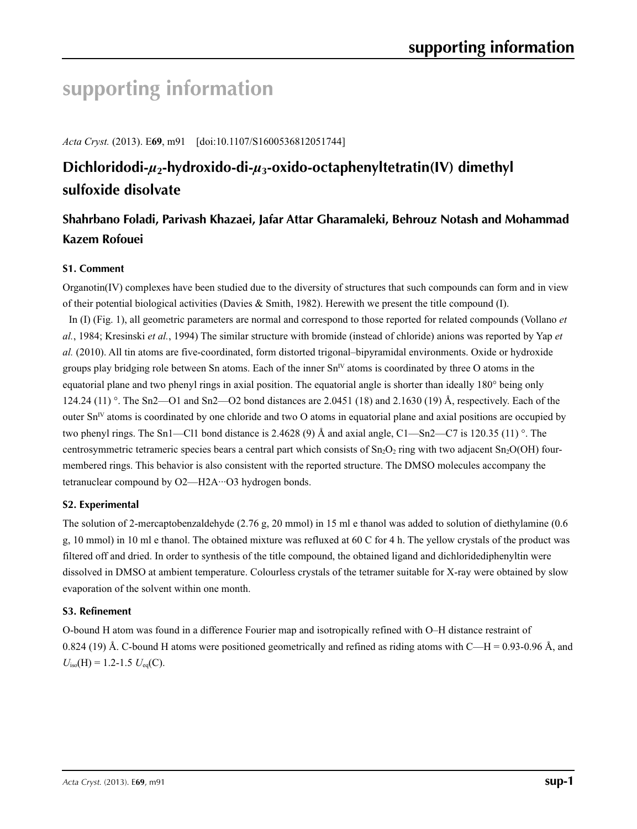# **supporting information**

*Acta Cryst.* (2013). E**69**, m91 [doi:10.1107/S1600536812051744]

# **Dichloridodi-***µ***2-hydroxido-di-***µ***3-oxido-octaphenyltetratin(IV) dimethyl sulfoxide disolvate**

# **Shahrbano Foladi, Parivash Khazaei, Jafar Attar Gharamaleki, Behrouz Notash and Mohammad Kazem Rofouei**

## **S1. Comment**

Organotin(IV) complexes have been studied due to the diversity of structures that such compounds can form and in view of their potential biological activities (Davies & Smith, 1982). Herewith we present the title compound (I).

In (I) (Fig. 1), all geometric parameters are normal and correspond to those reported for related compounds (Vollano *et al.*, 1984; Kresinski *et al.*, 1994) The similar structure with bromide (instead of chloride) anions was reported by Yap *et al.* (2010). All tin atoms are five-coordinated, form distorted trigonal–bipyramidal environments. Oxide or hydroxide groups play bridging role between Sn atoms. Each of the inner  $Sn<sup>IV</sup>$  atoms is coordinated by three O atoms in the equatorial plane and two phenyl rings in axial position. The equatorial angle is shorter than ideally 180° being only 124.24 (11) °. The Sn2—O1 and Sn2—O2 bond distances are 2.0451 (18) and 2.1630 (19) Å, respectively. Each of the outer  $Sn<sup>IV</sup>$  atoms is coordinated by one chloride and two O atoms in equatorial plane and axial positions are occupied by two phenyl rings. The Sn1—Cl1 bond distance is 2.4628 (9) Å and axial angle, C1—Sn2—C7 is 120.35 (11) °. The centrosymmetric tetrameric species bears a central part which consists of  $Sn<sub>2</sub>O<sub>2</sub>$  ring with two adjacent  $Sn<sub>2</sub>O(OH)$  fourmembered rings. This behavior is also consistent with the reported structure. The DMSO molecules accompany the tetranuclear compound by O2-H2A···O3 hydrogen bonds.

## **S2. Experimental**

The solution of 2-mercaptobenzaldehyde (2.76 g, 20 mmol) in 15 ml e thanol was added to solution of diethylamine (0.6 g, 10 mmol) in 10 ml e thanol. The obtained mixture was refluxed at 60 C for 4 h. The yellow crystals of the product was filtered off and dried. In order to synthesis of the title compound, the obtained ligand and dichloridediphenyltin were dissolved in DMSO at ambient temperature. Colourless crystals of the tetramer suitable for X-ray were obtained by slow evaporation of the solvent within one month.

#### **S3. Refinement**

O-bound H atom was found in a difference Fourier map and isotropically refined with O–H distance restraint of 0.824 (19) Å. C-bound H atoms were positioned geometrically and refined as riding atoms with C—H = 0.93-0.96 Å, and  $U_{\text{iso}}(H) = 1.2 - 1.5 U_{\text{eq}}(C)$ .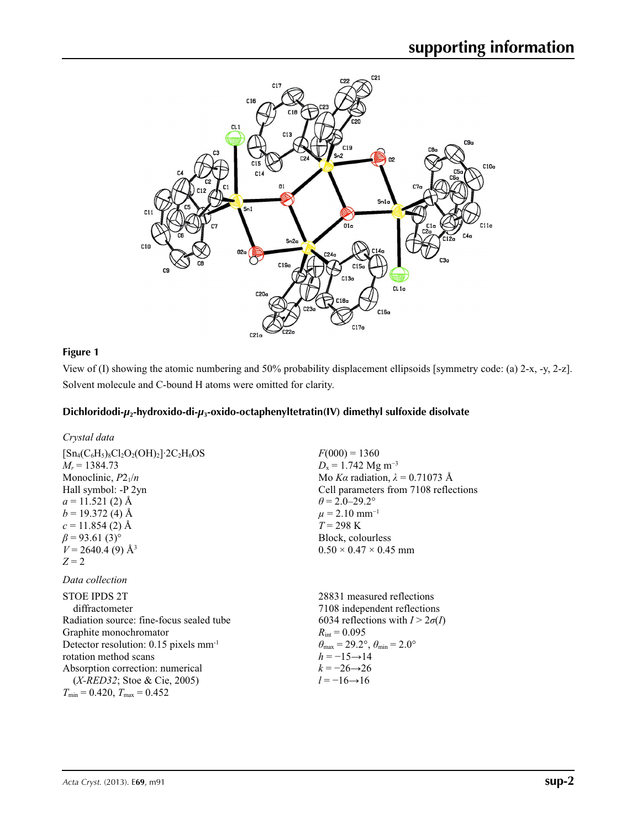

### **Figure 1**

View of (I) showing the atomic numbering and 50% probability displacement ellipsoids [symmetry code: (a) 2-x, -y, 2-z]. Solvent molecule and C-bound H atoms were omitted for clarity.

#### **Dichloridodi-***µ***2-hydroxido-di-***µ***3-oxido-octaphenyltetratin(IV) dimethyl sulfoxide disolvate**

| Crystal data                                                      |                                        |
|-------------------------------------------------------------------|----------------------------------------|
| $[Sn_4(C_6H_5)_8Cl_2O_2(OH)_2]$ 2C <sub>2</sub> H <sub>6</sub> OS | $F(000) = 1360$                        |
| $M_r = 1384.73$                                                   | $D_x = 1.742$ Mg m <sup>-3</sup>       |
| Monoclinic, $P2_1/n$                                              | Mo Ka radiation, $\lambda = 0.71073$ Å |
| Hall symbol: -P 2yn                                               | Cell parameters from 7108 reflections  |
| $a = 11.521(2)$ Å                                                 | $\theta$ = 2.0–29.2°                   |
| $b = 19.372(4)$ Å                                                 | $\mu$ = 2.10 mm <sup>-1</sup>          |
| $c = 11.854(2)$ Å                                                 | $T = 298 \text{ K}$                    |
| $\beta$ = 93.61 (3) <sup>o</sup>                                  | Block, colourless                      |
| $V = 2640.4$ (9) Å <sup>3</sup>                                   | $0.50 \times 0.47 \times 0.45$ mm      |
| $Z=2$                                                             |                                        |
| Data collection                                                   |                                        |
| <b>STOE IPDS 2T</b>                                               | 28831 measured reflections             |
| diffractometer                                                    | 7108 independent reflections           |

| diffractometer                                    | 7108 independent reflections                                            |
|---------------------------------------------------|-------------------------------------------------------------------------|
| Radiation source: fine-focus sealed tube          | 6034 reflections with $I > 2\sigma(I)$                                  |
| Graphite monochromator                            | $R_{\text{int}} = 0.095$                                                |
| Detector resolution: 0.15 pixels mm <sup>-1</sup> | $\theta_{\text{max}} = 29.2^{\circ}, \theta_{\text{min}} = 2.0^{\circ}$ |
| rotation method scans                             | $h = -15 \rightarrow 14$                                                |
| Absorption correction: numerical                  | $k = -26 \rightarrow 26$                                                |
| $(X \text{-} RED32)$ ; Stoe & Cie, 2005)          | $l = -16 \rightarrow 16$                                                |
| $T_{\min}$ = 0.420, $T_{\max}$ = 0.452            |                                                                         |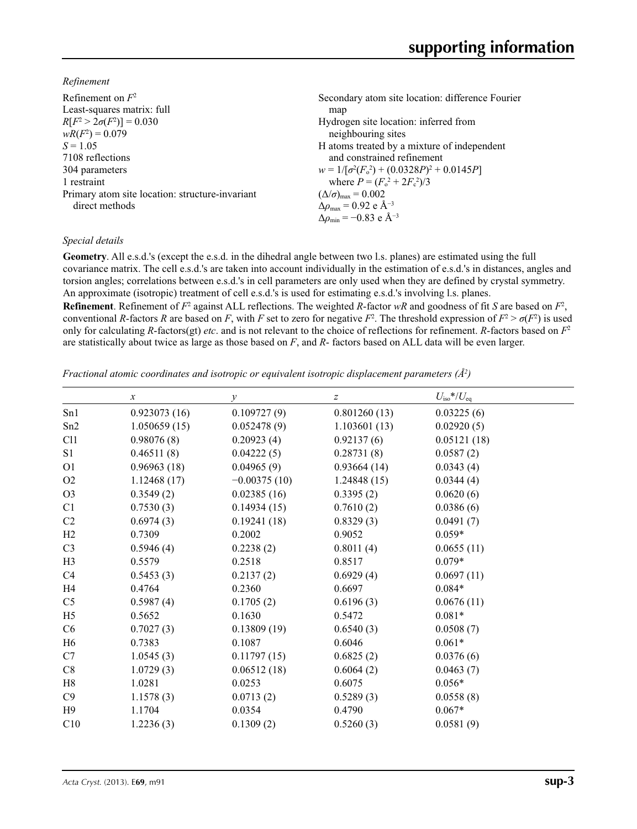*Refinement*

| Refinement on $F^2$                             | Secondary atom site location: difference Fourier            |
|-------------------------------------------------|-------------------------------------------------------------|
| Least-squares matrix: full                      | map                                                         |
| $R[F^2 > 2\sigma(F^2)] = 0.030$                 | Hydrogen site location: inferred from                       |
| $wR(F^2) = 0.079$                               | neighbouring sites                                          |
| $S = 1.05$                                      | H atoms treated by a mixture of independent                 |
| 7108 reflections                                | and constrained refinement                                  |
| 304 parameters                                  | $w = 1/[\sigma^2(F_0^2) + (0.0328P)^2 + 0.0145P]$           |
| 1 restraint                                     | where $P = (F_0^2 + 2F_c^2)/3$                              |
| Primary atom site location: structure-invariant | $(\Delta/\sigma)_{\text{max}} = 0.002$                      |
| direct methods                                  | $\Delta\rho_{\text{max}} = 0.92 \text{ e } \text{\AA}^{-3}$ |
|                                                 | $\Delta\rho_{\rm min} = -0.83$ e Å <sup>-3</sup>            |
|                                                 |                                                             |

#### *Special details*

**Geometry**. All e.s.d.'s (except the e.s.d. in the dihedral angle between two l.s. planes) are estimated using the full covariance matrix. The cell e.s.d.'s are taken into account individually in the estimation of e.s.d.'s in distances, angles and torsion angles; correlations between e.s.d.'s in cell parameters are only used when they are defined by crystal symmetry. An approximate (isotropic) treatment of cell e.s.d.'s is used for estimating e.s.d.'s involving l.s. planes.

**Refinement**. Refinement of  $F^2$  against ALL reflections. The weighted *R*-factor  $wR$  and goodness of fit *S* are based on  $F^2$ , conventional *R*-factors *R* are based on *F*, with *F* set to zero for negative  $F^2$ . The threshold expression of  $F^2 > \sigma(F^2)$  is used only for calculating *R*-factors(gt) *etc*. and is not relevant to the choice of reflections for refinement. *R*-factors based on *F*<sup>2</sup> are statistically about twice as large as those based on *F*, and *R*- factors based on ALL data will be even larger.

*Fractional atomic coordinates and isotropic or equivalent isotropic displacement parameters (Å<sup>2</sup>)* 

|                | $\boldsymbol{x}$ | $\mathcal{Y}$  | Z            | $U_{\rm iso}$ */ $U_{\rm eq}$ |
|----------------|------------------|----------------|--------------|-------------------------------|
| Sn1            | 0.923073(16)     | 0.109727(9)    | 0.801260(13) | 0.03225(6)                    |
| Sn2            | 1.050659(15)     | 0.052478(9)    | 1.103601(13) | 0.02920(5)                    |
| C11            | 0.98076(8)       | 0.20923(4)     | 0.92137(6)   | 0.05121(18)                   |
| S <sub>1</sub> | 0.46511(8)       | 0.04222(5)     | 0.28731(8)   | 0.0587(2)                     |
| O <sub>1</sub> | 0.96963(18)      | 0.04965(9)     | 0.93664(14)  | 0.0343(4)                     |
| O2             | 1.12468(17)      | $-0.00375(10)$ | 1.24848(15)  | 0.0344(4)                     |
| O <sub>3</sub> | 0.3549(2)        | 0.02385(16)    | 0.3395(2)    | 0.0620(6)                     |
| C1             | 0.7530(3)        | 0.14934(15)    | 0.7610(2)    | 0.0386(6)                     |
| C <sub>2</sub> | 0.6974(3)        | 0.19241(18)    | 0.8329(3)    | 0.0491(7)                     |
| H2             | 0.7309           | 0.2002         | 0.9052       | $0.059*$                      |
| C <sub>3</sub> | 0.5946(4)        | 0.2238(2)      | 0.8011(4)    | 0.0655(11)                    |
| H3             | 0.5579           | 0.2518         | 0.8517       | $0.079*$                      |
| C4             | 0.5453(3)        | 0.2137(2)      | 0.6929(4)    | 0.0697(11)                    |
| H <sub>4</sub> | 0.4764           | 0.2360         | 0.6697       | $0.084*$                      |
| C <sub>5</sub> | 0.5987(4)        | 0.1705(2)      | 0.6196(3)    | 0.0676(11)                    |
| H <sub>5</sub> | 0.5652           | 0.1630         | 0.5472       | $0.081*$                      |
| C6             | 0.7027(3)        | 0.13809(19)    | 0.6540(3)    | 0.0508(7)                     |
| H <sub>6</sub> | 0.7383           | 0.1087         | 0.6046       | $0.061*$                      |
| C7             | 1.0545(3)        | 0.11797(15)    | 0.6825(2)    | 0.0376(6)                     |
| C8             | 1.0729(3)        | 0.06512(18)    | 0.6064(2)    | 0.0463(7)                     |
| H8             | 1.0281           | 0.0253         | 0.6075       | $0.056*$                      |
| C9             | 1.1578(3)        | 0.0713(2)      | 0.5289(3)    | 0.0558(8)                     |
| H9             | 1.1704           | 0.0354         | 0.4790       | $0.067*$                      |
| C10            | 1.2236(3)        | 0.1309(2)      | 0.5260(3)    | 0.0581(9)                     |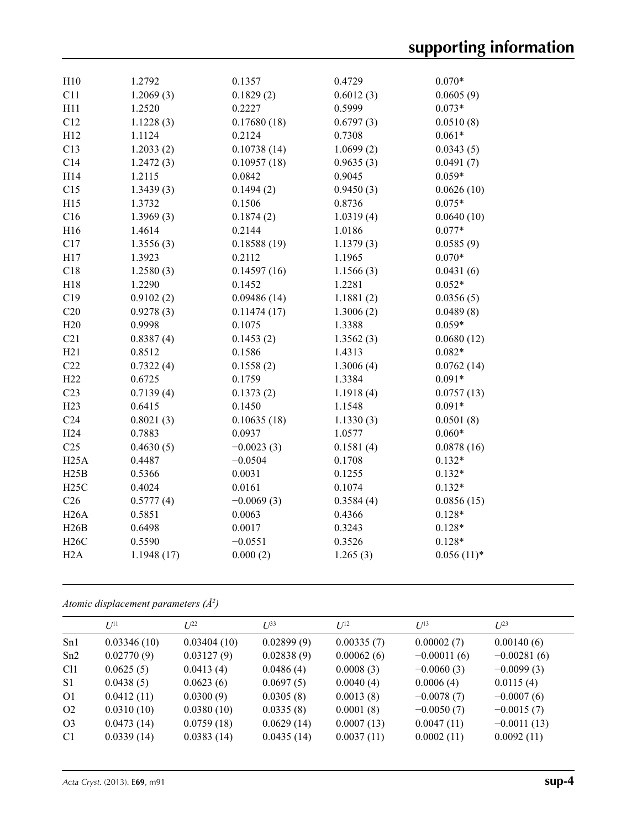| H10             | 1.2792     | 0.1357       | 0.4729    | $0.070*$     |
|-----------------|------------|--------------|-----------|--------------|
| C11             | 1.2069(3)  | 0.1829(2)    | 0.6012(3) | 0.0605(9)    |
| H11             | 1.2520     | 0.2227       | 0.5999    | $0.073*$     |
| C12             | 1.1228(3)  | 0.17680(18)  | 0.6797(3) | 0.0510(8)    |
| H12             | 1.1124     | 0.2124       | 0.7308    | $0.061*$     |
| C13             | 1.2033(2)  | 0.10738(14)  | 1.0699(2) | 0.0343(5)    |
| C14             | 1.2472(3)  | 0.10957(18)  | 0.9635(3) | 0.0491(7)    |
| H14             | 1.2115     | 0.0842       | 0.9045    | $0.059*$     |
| C15             | 1.3439(3)  | 0.1494(2)    | 0.9450(3) | 0.0626(10)   |
| H15             | 1.3732     | 0.1506       | 0.8736    | $0.075*$     |
| C16             | 1.3969(3)  | 0.1874(2)    | 1.0319(4) | 0.0640(10)   |
| H16             | 1.4614     | 0.2144       | 1.0186    | $0.077*$     |
| C17             | 1.3556(3)  | 0.18588(19)  | 1.1379(3) | 0.0585(9)    |
| H17             | 1.3923     | 0.2112       | 1.1965    | $0.070*$     |
| C18             | 1.2580(3)  | 0.14597(16)  | 1.1566(3) | 0.0431(6)    |
| H18             | 1.2290     | 0.1452       | 1.2281    | $0.052*$     |
| C19             | 0.9102(2)  | 0.09486(14)  | 1.1881(2) | 0.0356(5)    |
| C20             | 0.9278(3)  | 0.11474(17)  | 1.3006(2) | 0.0489(8)    |
| H20             | 0.9998     | 0.1075       | 1.3388    | $0.059*$     |
| C21             | 0.8387(4)  | 0.1453(2)    | 1.3562(3) | 0.0680(12)   |
| H21             | 0.8512     | 0.1586       | 1.4313    | $0.082*$     |
| C22             | 0.7322(4)  | 0.1558(2)    | 1.3006(4) | 0.0762(14)   |
| H22             | 0.6725     | 0.1759       | 1.3384    | $0.091*$     |
| C <sub>23</sub> | 0.7139(4)  | 0.1373(2)    | 1.1918(4) | 0.0757(13)   |
| H23             | 0.6415     | 0.1450       | 1.1548    | $0.091*$     |
| C <sub>24</sub> | 0.8021(3)  | 0.10635(18)  | 1.1330(3) | 0.0501(8)    |
| H <sub>24</sub> | 0.7883     | 0.0937       | 1.0577    | $0.060*$     |
| C <sub>25</sub> | 0.4630(5)  | $-0.0023(3)$ | 0.1581(4) | 0.0878(16)   |
| H25A            | 0.4487     | $-0.0504$    | 0.1708    | $0.132*$     |
| H25B            | 0.5366     | 0.0031       | 0.1255    | $0.132*$     |
| H25C            | 0.4024     | 0.0161       | 0.1074    | $0.132*$     |
| C <sub>26</sub> | 0.5777(4)  | $-0.0069(3)$ | 0.3584(4) | 0.0856(15)   |
| H26A            | 0.5851     | 0.0063       | 0.4366    | $0.128*$     |
| H26B            | 0.6498     | 0.0017       | 0.3243    | $0.128*$     |
| H26C            | 0.5590     | $-0.0551$    | 0.3526    | $0.128*$     |
| H2A             | 1.1948(17) | 0.000(2)     | 1.265(3)  | $0.056(11)*$ |
|                 |            |              |           |              |

#### *Atomic displacement parameters (Å2 )*

|                 | $U^{11}$    | $I^{22}$    | $U^{33}$   | $I^{12}$   | $U^{13}$      | $L^{23}$      |
|-----------------|-------------|-------------|------------|------------|---------------|---------------|
| Sn1             | 0.03346(10) | 0.03404(10) | 0.02899(9) | 0.00335(7) | 0.00002(7)    | 0.00140(6)    |
| Sn2             | 0.02770(9)  | 0.03127(9)  | 0.02838(9) | 0.00062(6) | $-0.00011(6)$ | $-0.00281(6)$ |
| C <sub>11</sub> | 0.0625(5)   | 0.0413(4)   | 0.0486(4)  | 0.0008(3)  | $-0.0060(3)$  | $-0.0099(3)$  |
| S1              | 0.0438(5)   | 0.0623(6)   | 0.0697(5)  | 0.0040(4)  | 0.0006(4)     | 0.0115(4)     |
| O <sub>1</sub>  | 0.0412(11)  | 0.0300(9)   | 0.0305(8)  | 0.0013(8)  | $-0.0078(7)$  | $-0.0007(6)$  |
| O <sub>2</sub>  | 0.0310(10)  | 0.0380(10)  | 0.0335(8)  | 0.0001(8)  | $-0.0050(7)$  | $-0.0015(7)$  |
| O <sub>3</sub>  | 0.0473(14)  | 0.0759(18)  | 0.0629(14) | 0.0007(13) | 0.0047(11)    | $-0.0011(13)$ |
| C <sub>1</sub>  | 0.0339(14)  | 0.0383(14)  | 0.0435(14) | 0.0037(11) | 0.0002(11)    | 0.0092(11)    |
|                 |             |             |            |            |               |               |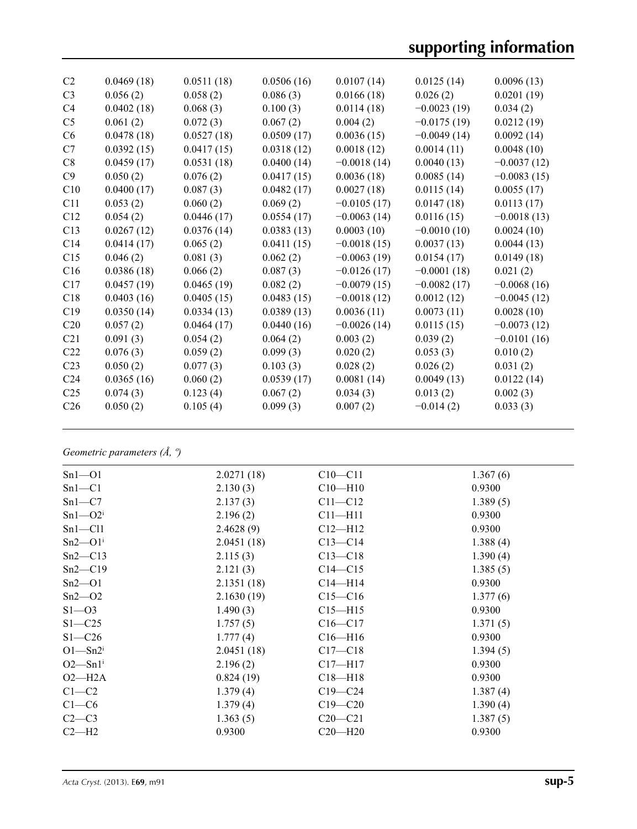# **supporting information**

| C <sub>2</sub>  | 0.0469(18) | 0.0511(18) | 0.0506(16) | 0.0107(14)    | 0.0125(14)    | 0.0096(13)    |
|-----------------|------------|------------|------------|---------------|---------------|---------------|
|                 |            |            |            |               |               |               |
| C <sub>3</sub>  | 0.056(2)   | 0.058(2)   | 0.086(3)   | 0.0166(18)    | 0.026(2)      | 0.0201(19)    |
| C <sub>4</sub>  | 0.0402(18) | 0.068(3)   | 0.100(3)   | 0.0114(18)    | $-0.0023(19)$ | 0.034(2)      |
| C <sub>5</sub>  | 0.061(2)   | 0.072(3)   | 0.067(2)   | 0.004(2)      | $-0.0175(19)$ | 0.0212(19)    |
| C6              | 0.0478(18) | 0.0527(18) | 0.0509(17) | 0.0036(15)    | $-0.0049(14)$ | 0.0092(14)    |
| C7              | 0.0392(15) | 0.0417(15) | 0.0318(12) | 0.0018(12)    | 0.0014(11)    | 0.0048(10)    |
| C8              | 0.0459(17) | 0.0531(18) | 0.0400(14) | $-0.0018(14)$ | 0.0040(13)    | $-0.0037(12)$ |
| C9              | 0.050(2)   | 0.076(2)   | 0.0417(15) | 0.0036(18)    | 0.0085(14)    | $-0.0083(15)$ |
| C10             | 0.0400(17) | 0.087(3)   | 0.0482(17) | 0.0027(18)    | 0.0115(14)    | 0.0055(17)    |
| C11             | 0.053(2)   | 0.060(2)   | 0.069(2)   | $-0.0105(17)$ | 0.0147(18)    | 0.0113(17)    |
| C12             | 0.054(2)   | 0.0446(17) | 0.0554(17) | $-0.0063(14)$ | 0.0116(15)    | $-0.0018(13)$ |
| C13             | 0.0267(12) | 0.0376(14) | 0.0383(13) | 0.0003(10)    | $-0.0010(10)$ | 0.0024(10)    |
| C14             | 0.0414(17) | 0.065(2)   | 0.0411(15) | $-0.0018(15)$ | 0.0037(13)    | 0.0044(13)    |
| C15             | 0.046(2)   | 0.081(3)   | 0.062(2)   | $-0.0063(19)$ | 0.0154(17)    | 0.0149(18)    |
| C16             | 0.0386(18) | 0.066(2)   | 0.087(3)   | $-0.0126(17)$ | $-0.0001(18)$ | 0.021(2)      |
| C17             | 0.0457(19) | 0.0465(19) | 0.082(2)   | $-0.0079(15)$ | $-0.0082(17)$ | $-0.0068(16)$ |
| C18             | 0.0403(16) | 0.0405(15) | 0.0483(15) | $-0.0018(12)$ | 0.0012(12)    | $-0.0045(12)$ |
| C19             | 0.0350(14) | 0.0334(13) | 0.0389(13) | 0.0036(11)    | 0.0073(11)    | 0.0028(10)    |
| C <sub>20</sub> | 0.057(2)   | 0.0464(17) | 0.0440(16) | $-0.0026(14)$ | 0.0115(15)    | $-0.0073(12)$ |
| C21             | 0.091(3)   | 0.054(2)   | 0.064(2)   | 0.003(2)      | 0.039(2)      | $-0.0101(16)$ |
| C <sub>22</sub> | 0.076(3)   | 0.059(2)   | 0.099(3)   | 0.020(2)      | 0.053(3)      | 0.010(2)      |
| C <sub>23</sub> | 0.050(2)   | 0.077(3)   | 0.103(3)   | 0.028(2)      | 0.026(2)      | 0.031(2)      |
| C <sub>24</sub> | 0.0365(16) | 0.060(2)   | 0.0539(17) | 0.0081(14)    | 0.0049(13)    | 0.0122(14)    |
| C <sub>25</sub> | 0.074(3)   | 0.123(4)   | 0.067(2)   | 0.034(3)      | 0.013(2)      | 0.002(3)      |
| C <sub>26</sub> | 0.050(2)   | 0.105(4)   | 0.099(3)   | 0.007(2)      | $-0.014(2)$   | 0.033(3)      |
|                 |            |            |            |               |               |               |

## *Geometric parameters (Å, º)*

| $Sn1 - O1$            | 2.0271(18) | $C10 - C11$ | 1.367(6) |
|-----------------------|------------|-------------|----------|
| $Sn1-C1$              | 2.130(3)   | $C10-H10$   | 0.9300   |
| $Sn1-C7$              | 2.137(3)   | $C11 - C12$ | 1.389(5) |
| $Sn1 - O2i$           | 2.196(2)   | $C11 - H11$ | 0.9300   |
| $Sn1 - Cl1$           | 2.4628(9)  | $C12 - H12$ | 0.9300   |
| $Sn2-O1i$             | 2.0451(18) | $C13 - C14$ | 1.388(4) |
| $Sn2-C13$             | 2.115(3)   | $C13 - C18$ | 1.390(4) |
| $Sn2-C19$             | 2.121(3)   | $C14 - C15$ | 1.385(5) |
| $Sn2-O1$              | 2.1351(18) | $C14 - H14$ | 0.9300   |
| $Sn2 - O2$            | 2.1630(19) | $C15 - C16$ | 1.377(6) |
| $S1 - 03$             | 1.490(3)   | $C15 - H15$ | 0.9300   |
| $S1 - C25$            | 1.757(5)   | $C16 - C17$ | 1.371(5) |
| $S1 - C26$            | 1.777(4)   | $Cl6-H16$   | 0.9300   |
| $O1 - Sn2i$           | 2.0451(18) | $C17 - C18$ | 1.394(5) |
| $O2-Sn1$ <sup>i</sup> | 2.196(2)   | $C17 - H17$ | 0.9300   |
| $O2-H2A$              | 0.824(19)  | $C18 - H18$ | 0.9300   |
| $C1-C2$               | 1.379(4)   | $C19 - C24$ | 1.387(4) |
| $C1-C6$               | 1.379(4)   | $C19 - C20$ | 1.390(4) |
| $C2-C3$               | 1.363(5)   | $C20 - C21$ | 1.387(5) |
| $C2-H2$               | 0.9300     | $C20 - H20$ | 0.9300   |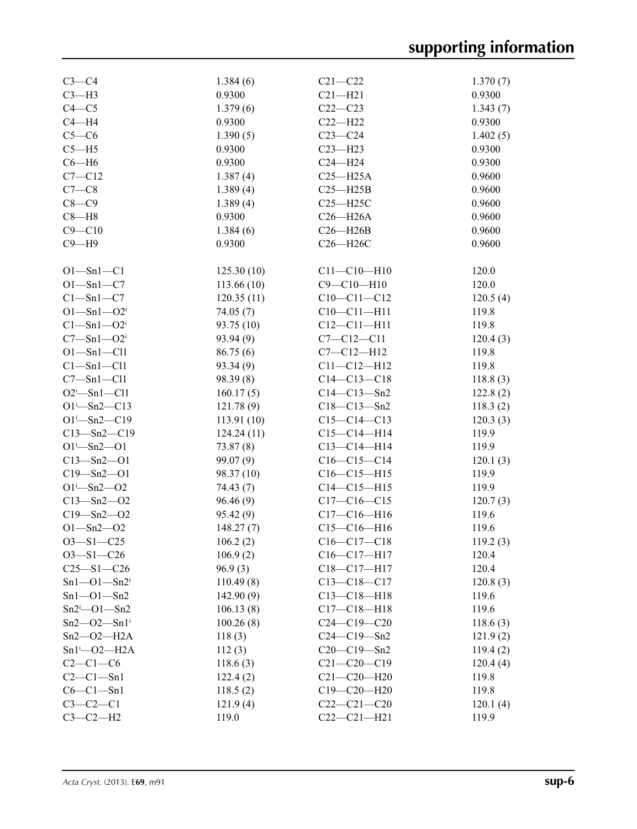| $C3-C4$                       | 1.384(6)   | $C21 - C22$                  | 1.370(7) |
|-------------------------------|------------|------------------------------|----------|
| $C3-H3$                       | 0.9300     | $C21 - H21$                  | 0.9300   |
| $C4 - C5$                     | 1.379(6)   | $C22-C23$                    | 1.343(7) |
| $C4 - H4$                     | 0.9300     | $C22 - H22$                  | 0.9300   |
| $C5-C6$                       | 1.390(5)   | $C23-C24$                    | 1.402(5) |
| $C5 - H5$                     | 0.9300     | $C23 - H23$                  | 0.9300   |
| $C6 - H6$                     | 0.9300     | $C24 - H24$                  | 0.9300   |
| $C7 - C12$                    | 1.387(4)   | $C25 - H25A$                 | 0.9600   |
| $C7-C8$                       | 1.389(4)   | $C25 - H25B$                 | 0.9600   |
| $C8-C9$                       | 1.389(4)   | $C25 - H25C$                 | 0.9600   |
| $C8 - H8$                     | 0.9300     | $C26 - H26A$                 | 0.9600   |
| $C9 - C10$                    | 1.384(6)   | $C26 - H26B$                 | 0.9600   |
| $C9 - H9$                     | 0.9300     | C26-H26C                     | 0.9600   |
|                               |            |                              |          |
| $O1 - Sn1 - C1$               | 125.30(10) | $C11 - C10 - H10$            | 120.0    |
| $O1 - Sn1 - C7$               | 113.66(10) | $C9 - C10 - H10$             | 120.0    |
| $Cl - Sn1 - C7$               | 120.35(11) | $C10-C11-C12$                | 120.5(4) |
| $O1 - Sn1 - O2i$              | 74.05(7)   | $C10-C11-H11$                | 119.8    |
| $Cl - Sn1 - O2i$              | 93.75 (10) | $C12 - C11 - H11$            | 119.8    |
| $C7 - Sn1 - O2i$              | 93.94(9)   | $C7 - C12 - C11$             | 120.4(3) |
| $O1 - Sn1 - Cl1$              | 86.75(6)   | $C7 - C12 - H12$             | 119.8    |
| Cl—Sn1—Cl1                    | 93.34(9)   | $C11 - C12 - H12$            | 119.8    |
| $C7 - Sn1 - Cl1$              | 98.39 (8)  | $C14 - C13 - C18$            | 118.8(3) |
| $O2^i$ -Sn1-Cl1               | 160.17(5)  | $C14 - C13 - Sn2$            | 122.8(2) |
| $O1^{i} - Sn2 - C13$          | 121.78(9)  | $C18 - C13 - Sn2$            | 118.3(2) |
| $O1^{i} - Sn2 - C19$          | 113.91(10) | $C15-C14-C13$                | 120.3(3) |
| $C13 - Sn2 - C19$             | 124.24(11) | $C15 - C14 - H14$            | 119.9    |
| $O1 - Sn2 - O1$               | 73.87(8)   | $C13 - C14 - H14$            | 119.9    |
| $C13 - Sn2 - O1$              | 99.07(9)   | $C16-C15-C14$                | 120.1(3) |
| $C19 - Sn2 - O1$              | 98.37 (10) | $C16-C15-H15$                | 119.9    |
| $O1 - Sn2 - O2$               | 74.43(7)   | $C14 - C15 - H15$            | 119.9    |
| $C13 - Sn2 - O2$              | 96.46(9)   | $C17-C16-C15$                | 120.7(3) |
| $C19 - Sn2 - O2$              | 95.42(9)   | $C17 - C16 - H16$            | 119.6    |
| $O1 - Sn2 - O2$               | 148.27(7)  | $C15-C16-H16$                | 119.6    |
| $O3 - S1 - C25$               | 106.2(2)   | $C16 - C17 - C18$            | 119.2(3) |
|                               |            |                              |          |
| $O3 - S1 - C26$               | 106.9(2)   | $C16-C17-H17$<br>C18-C17-H17 | 120.4    |
| $C25 - S1 - C26$              | 96.9(3)    |                              | 120.4    |
| $Sn1 - O1 - Sn2i$             | 110.49(8)  | $C13-C18-C17$                | 120.8(3) |
| $Sn1 - O1 - Sn2$              | 142.90(9)  | $C13 - C18 - H18$            | 119.6    |
| $Sn2^i$ - O1 - Sn2            | 106.13(8)  | $C17 - C18 - H18$            | 119.6    |
| $Sn2 - O2 - Sn1$ <sup>i</sup> | 100.26(8)  | $C24-C19-C20$                | 118.6(3) |
| $Sn2 - O2 - H2A$              | 118(3)     | $C24 - C19 - Sn2$            | 121.9(2) |
| $Sn1^i$ - O2 - H2A            | 112(3)     | $C20 - C19 - Sn2$            | 119.4(2) |
| $C2-C1-C6$                    | 118.6(3)   | $C21 - C20 - C19$            | 120.4(4) |
| $C2-C1-Sn1$                   | 122.4(2)   | $C21 - C20 - H20$            | 119.8    |
| $C6-C1-Sn1$                   | 118.5(2)   | $C19 - C20 - H20$            | 119.8    |
| $C3 - C2 - C1$                | 121.9(4)   | $C22-C21-C20$                | 120.1(4) |
| $C3-C2-H2$                    | 119.0      | $C22-C21-H21$                | 119.9    |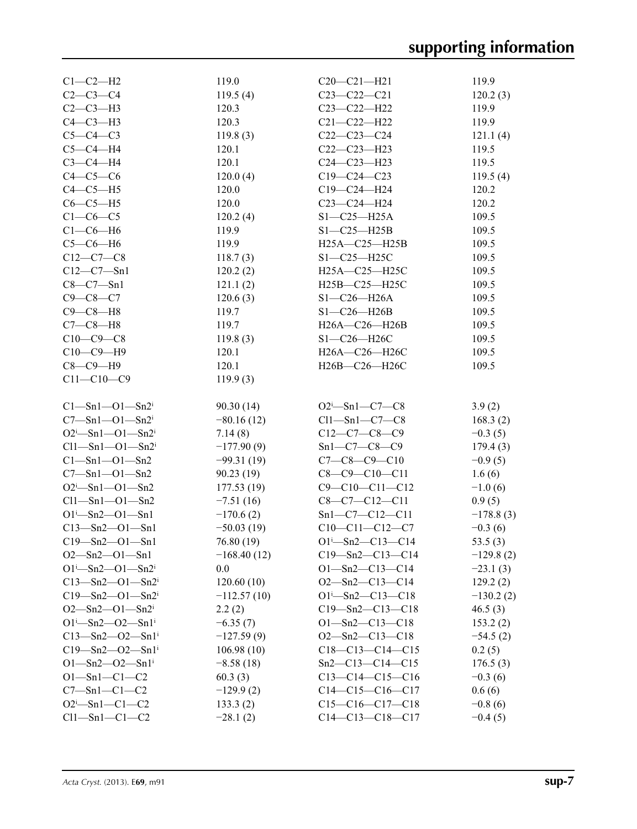| $C1-C2-H2$                            | 119.0                  | $C20-C21-H21$                | 119.9       |
|---------------------------------------|------------------------|------------------------------|-------------|
| $C2 - C3 - C4$                        | 119.5(4)               | $C23 - C22 - C21$            | 120.2(3)    |
| $C2-C3-H3$                            | 120.3                  | $C23 - C22 - H22$            | 119.9       |
| $C4-C3-H3$                            | 120.3                  | $C21 - C22 - H22$            | 119.9       |
| $C5-C4-C3$                            | 119.8(3)               | $C22-C23-C24$                | 121.1(4)    |
| $C5-C4-H4$                            | 120.1                  | $C22-C23-H23$                | 119.5       |
| $C3-C4-H4$                            | 120.1                  | $C24 - C23 - H23$            | 119.5       |
| $C4-C5-C6$                            | 120.0(4)               | $C19 - C24 - C23$            | 119.5(4)    |
| $C4-C5-H5$                            | 120.0                  | $C19 - C24 - H24$            | 120.2       |
| $C6-C5-H5$                            | 120.0                  | $C23 - C24 - H24$            | 120.2       |
| $C1-C6-C5$                            | 120.2(4)               | $S1-C25-H25A$                | 109.5       |
| $C1-C6-H6$                            | 119.9                  | $S1 - C25 - H25B$            | 109.5       |
| $C5-C6-H6$                            | 119.9                  | $H25A - C25 - H25B$          | 109.5       |
| $C12-C7-C8$                           | 118.7(3)               | $S1 - C25 - H25C$            | 109.5       |
| $C12 - C7 - Sn1$                      | 120.2(2)               | H25A-C25-H25C                | 109.5       |
| $C8-C7-Sn1$                           | 121.1(2)               | H25B-C25-H25C                | 109.5       |
| $C9 - C8 - C7$                        | 120.6(3)               | $S1-C26-H26A$                | 109.5       |
| $C9-C8-H8$                            | 119.7                  | $S1-C26-H26B$                | 109.5       |
| $C7-C8-H8$                            | 119.7                  | H26A-C26-H26B                | 109.5       |
| $C10-C9-C8$                           | 119.8(3)               | $S1-C26-H26C$                | 109.5       |
| $C10-C9-H9$                           | 120.1                  | H26A-C26-H26C                | 109.5       |
| $C8-C9-H9$                            | 120.1                  | H26B-C26-H26C                | 109.5       |
| $C11 - C10 - C9$                      | 119.9(3)               |                              |             |
|                                       |                        |                              |             |
| $Cl - Sn1 - O1 - Sn2i$                | 90.30(14)              | $O2^i$ -Sn1-C7-C8            | 3.9(2)      |
| $C7 - Sn1 - O1 - Sn2i$                | $-80.16(12)$           | $Cl1 - Sn1 - C7 - C8$        | 168.3(2)    |
| $O2^{i}$ -Sn1- $O1$ -Sn2 <sup>i</sup> | 7.14(8)                | $C12-C7-C8-C9$               | $-0.3(5)$   |
| $Cl1 - Sn1 - O1 - Sn2i$               | $-177.90(9)$           | $Sn1-C7-C8-C9$               | 179.4(3)    |
| $Cl - Sn1 - O1 - Sn2$                 | $-99.31(19)$           | $C7-C8-C9-C10$               | $-0.9(5)$   |
| $C7 - Sn1 - O1 - Sn2$                 | 90.23(19)              | $C8-C9-C10-C11$              | 1.6(6)      |
| $O2^i$ -Sn1- $O1$ -Sn2                |                        | $C9 - C10 - C11 - C12$       |             |
|                                       | 177.53(19)             |                              | $-1.0(6)$   |
| $Cl1 - Sn1 - O1 - Sn2$                | $-7.51(16)$            | $C8-C7-C12-C11$              | 0.9(5)      |
| $O1^{i} - Sn2 - O1 - Sn1$             | $-170.6(2)$            | $Sn1-C7-C12-C11$             | $-178.8(3)$ |
| $C13 - Sn2 - O1 - Sn1$                | $-50.03(19)$           | $C10-C11-C12-C7$             | $-0.3(6)$   |
| $C19 - Sn2 - O1 - Sn1$                |                        |                              |             |
| $O2 - Sn2 - O1 - Sn1$                 | 76.80 (19)             | $O1^{i}$ -Sn2-C13-C14        | 53.5 $(3)$  |
|                                       | $-168.40(12)$          | $C19 - Sn2 - C13 - C14$      | $-129.8(2)$ |
| $O1^{i} - Sn2 - O1 - Sn2^{i}$         | 0.0                    | $O1 - Sn2 - C13 - C14$       | $-23.1(3)$  |
| $C13 - Sn2 - O1 - Sn2i$               | 120.60(10)             | $O2 - Sn2 - C13 - C14$       | 129.2(2)    |
| $C19 - Sn2 - O1 - Sn2i$               | $-112.57(10)$          | $O1^{\text{i}}$ -Sn2-C13-C18 | $-130.2(2)$ |
| $O2$ —Sn2—O1—Sn2 <sup>i</sup>         | 2.2(2)                 | $C19 - Sn2 - C13 - C18$      | 46.5(3)     |
| $O1^{i} - Sn2 - O2 - Sn1^{i}$         | $-6.35(7)$             | $O1 - Sn2 - C13 - C18$       | 153.2(2)    |
| $C13 - Sn2 - O2 - Sn1$ <sup>i</sup>   | $-127.59(9)$           | $O2 - Sn2 - C13 - C18$       | $-54.5(2)$  |
| $C19 - Sn2 - O2 - Sn1$ <sup>i</sup>   | 106.98(10)             | $C18-C13-C14-C15$            | 0.2(5)      |
| $O1 - Sn2 - O2 - Sn1$ <sup>i</sup>    | $-8.58(18)$            | $Sn2-C13-C14-C15$            | 176.5(3)    |
| $O1 - Sn1 - C1 - C2$                  | 60.3(3)                | $C13-C14-C15-C16$            | $-0.3(6)$   |
| $C7 - Sn1 - C1 - C2$                  | $-129.9(2)$            | $C14-C15-C16-C17$            | 0.6(6)      |
| $O2^i$ -Sn1-C1-C2                     | 133.3(2)<br>$-28.1(2)$ | $C15-C16-C17-C18$            | $-0.8(6)$   |